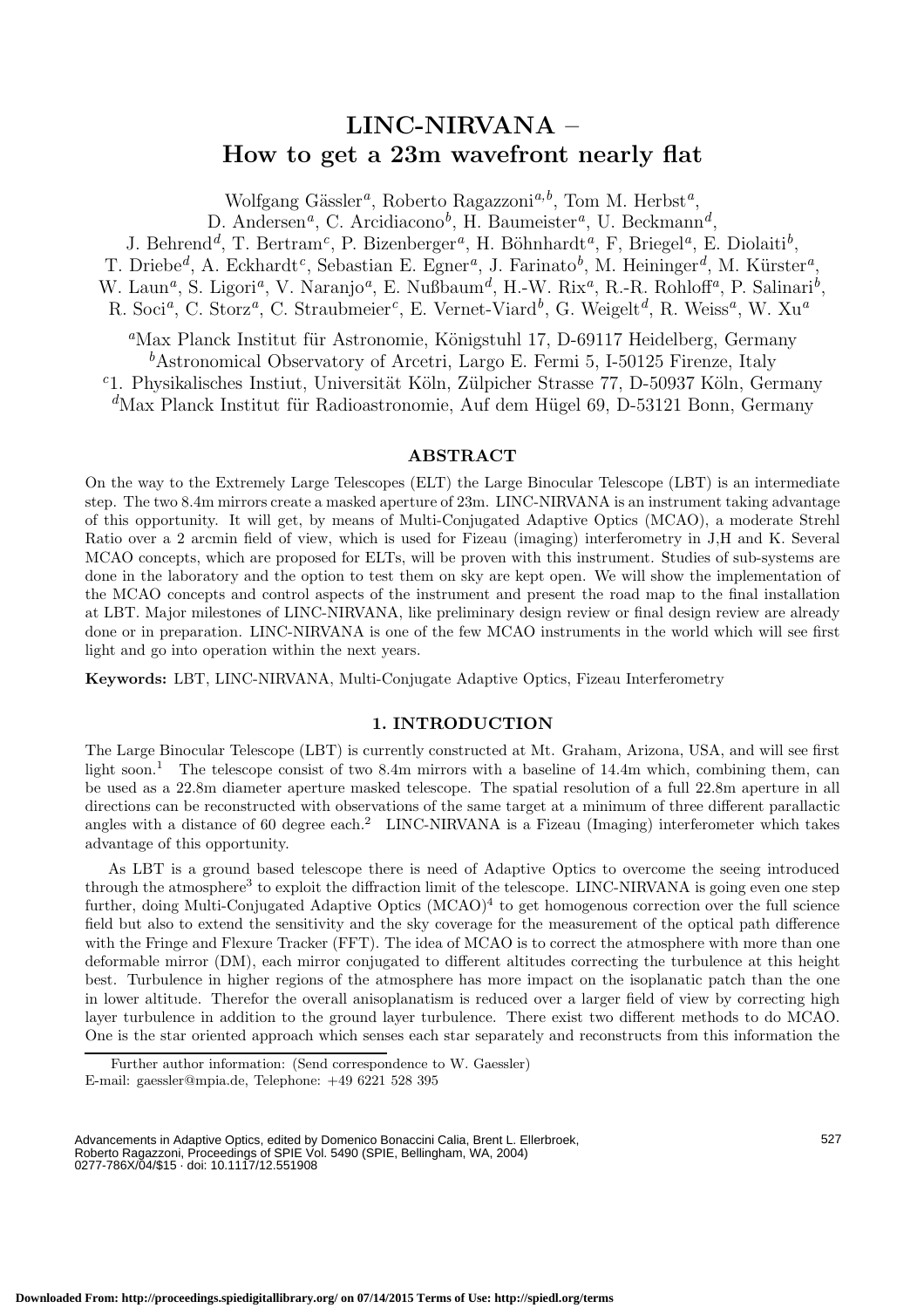# **LINC-NIRVANA –**<br>How to get a 23m wavefront nearly flat **How to get a 23m wavefront nearly flat**

Wolfgang Gässler<sup>a</sup>, Roberto Ragazzoni<sup>a,b</sup>, Tom M. Herbst<sup>a</sup>,

D. Andersen *<sup>a</sup>*, C. Arcidiacono *<sup>b</sup>*, H. Baumeister *<sup>a</sup>*, U. Beckmann *d* ,

J. Behrend<sup>d</sup>, T. Bertram<sup>c</sup>, P. Bizenberger<sup>a</sup>, H. Böhnhardt<sup>a</sup>, F, Briegel<sup>a</sup>, E. Diolaiti<sup>b</sup>,

T. Driebe<sup>d</sup>, A. Eckhardt<sup>c</sup>, Sebastian E. Egner<sup>a</sup>, J. Farinato<sup>b</sup>, M. Heininger<sup>d</sup>, M. Kürster<sup>a</sup>, W. Laun<sup>a</sup>, S. Ligori<sup>a</sup>, V. Naranjo<sup>a</sup>, E. Nußbaum<sup>d</sup>, H.-W. Rix<sup>a</sup>, R.-R. Rohloff<sup>a</sup>, P. Salinari<sup>b</sup>,

R. Soci *<sup>a</sup>*, C. Storz *<sup>a</sup>*, C. Straubmeier *<sup>c</sup>*, E. Vernet-Viard *<sup>b</sup>*, G. Weigelt *<sup>d</sup>*, R. Weiss *<sup>a</sup>*, W. Xu *a*

<sup>a</sup>Max Planck Institut für Astronomie, Königstuhl 17, D-69117 Heidelberg, Germany *b*Astronomical Observatory of Arcetri, Largo E. Fermi 5, I-50125 Firenze, Italy <sup>*c*</sup>1. Physikalisches Instiut, Universität Köln, Zülpicher Strasse 77, D-50937 Köln, Germany *d*Max Planck Institut für Radioastronomie, Auf dem Hügel 69, D-53121 Bonn, Germany

## **ABSTRACT**

On the way to the Extremely Large Telescopes (ELT) the Large Binocular Telescope (LBT) is an intermediate step. The two 8.4m mirrors create a masked aperture of 23m. LINC-NIRVANA is an instrument taking advantage of this opportunity. It will get, by means of Multi-Conjugated Adaptive Optics (MCAO), a moderate Strehl Ratio over a 2 arcmin field of view, which is used for Fizeau (imaging) interferometry in J,H and K. Several MCAO concepts, which are proposed for ELTs, will be proven with this instrument. Studies of sub-systems are done in the laboratory and the option to test them on sky are kept open. We will show the implementation of the MCAO concepts and control aspects of the instrument and present the road map to the final installation at LBT. Major milestones of LINC-NIRVANA, like preliminary design review or final design review are already done or in preparation. LINC-NIRVANA is one of the few MCAO instruments in the world which will see first light and go into operation within the next years.

**Keywords:** LBT, LINC-NIRVANA, Multi-Conjugate Adaptive Optics, Fizeau Interferometry

#### **1. INTRODUCTION**

The Large Binocular Telescope (LBT) is currently constructed at Mt. Graham, Arizona, USA, and will see first light soon. <sup>1</sup> The telescope consist of two 8.4m mirrors with a baseline of 14.4m which, combining them, can be used as a 22.8m diameter aperture masked telescope. The spatial resolution of a full 22.8m aperture in all directions can be reconstructed with observations of the same target at a minimum of three different parallactic angles with a distance of 60 degree each.<sup>2</sup> LINC-NIRVANA is a Fizeau (Imaging) interferometer which takes advantage of this opportunity.

As LBT is a ground based telescope there is need of Adaptive Optics to overcome the seeing introduced through the atmosphere<sup>3</sup> to exploit the diffraction limit of the telescope. LINC-NIRVANA is going even one step further, doing Multi-Conjugated Adaptive Optics (MCAO)<sup>4</sup> to get homogenous correction over the full science field but also to extend the sensitivity and the sky coverage for the measurement of the optical path difference with the Fringe and Flexure Tracker (FFT). The idea of MCAO is to correct the atmosphere with more than one deformable mirror (DM), each mirror conjugated to different altitudes correcting the turbulence at this height best. Turbulence in higher regions of the atmosphere has more impact on the isoplanatic patch than the one in lower altitude. Therefor the overall anisoplanatism is reduced over a larger field of view by correcting high layer turbulence in addition to the ground layer turbulence. There exist two different methods to do MCAO. One is the star oriented approach which senses each star separately and reconstructs from this information the

Further author information: (Send correspondence to W. Gaessler) E-mail: gaessler@mpia.de, Telephone: +49 6221 528 395

Advancements in Adaptive Optics, edited by Domenico Bonaccini Calia, Brent L. Ellerbroek, Roberto Ragazzoni, Proceedings of SPIE Vol. 5490 (SPIE, Bellingham, WA, 2004) 0277-786X/04/\$15 · doi: 10.1117/12.551908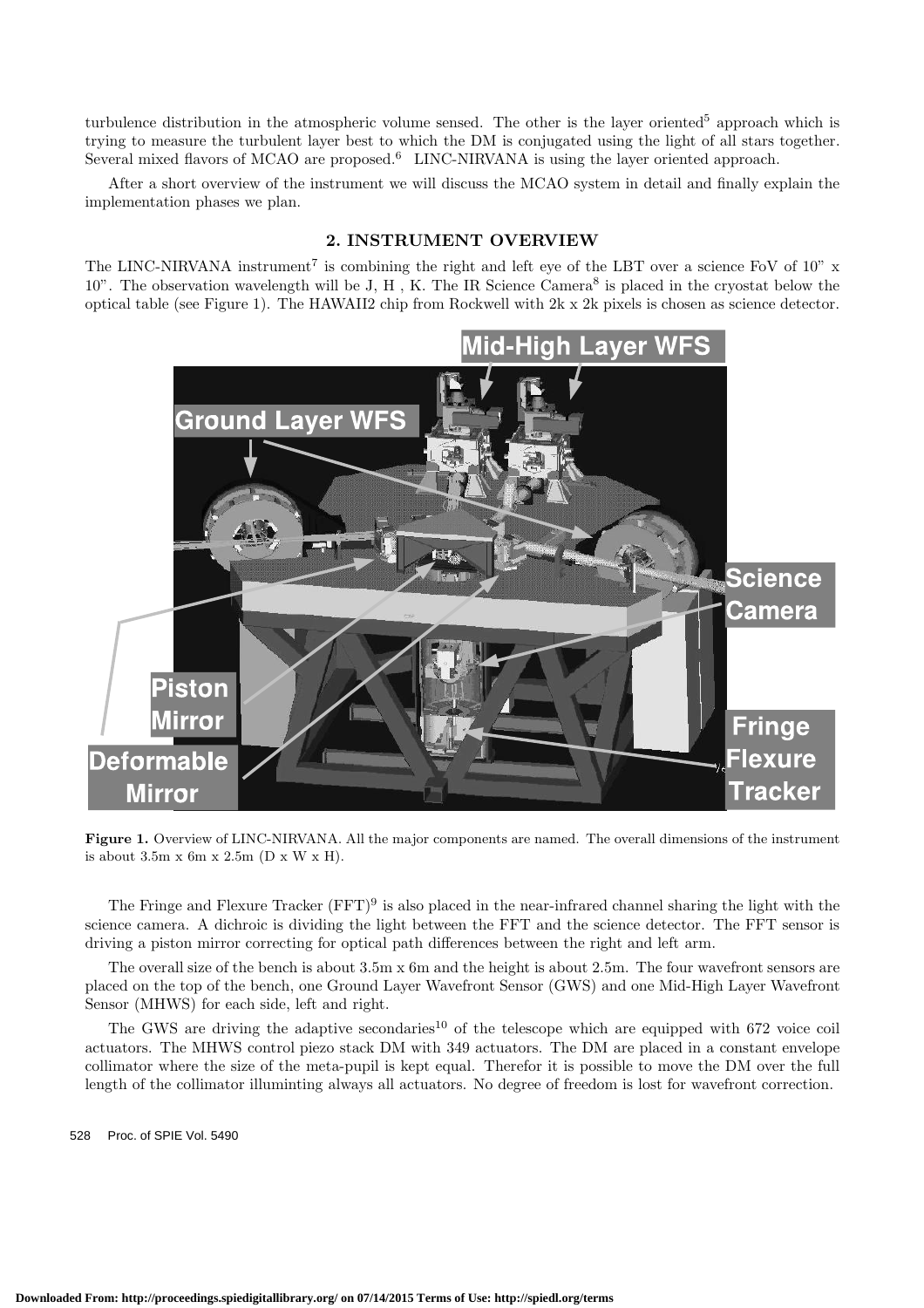turbulence distribution in the atmospheric volume sensed. The other is the layer oriented<sup>5</sup> approach which is trying to measure the turbulent layer best to which the DM is conjugated using the light of all stars together. Several mixed flavors of MCAO are proposed.<sup>6</sup> LINC-NIRVANA is using the layer oriented approach.

After a short overview of the instrument we will discuss the MCAO system in detail and finally explain the implementation phases we plan.

## **2. INSTRUMENT OVERVIEW**

The LINC-NIRVANA instrument<sup>7</sup> is combining the right and left eye of the LBT over a science FoV of  $10''$  x 10". The observation wavelength will be J, H , K. The IR Science Camera<sup>8</sup> is placed in the cryostat below the optical table (see Figure 1). The HAWAII2 chip from Rockwell with 2k x 2k pixels is chosen as science detector.



**Figure 1.** Overview of LINC-NIRVANA. All the major components are named. The overall dimensions of the instrument is about 3.5m x 6m x 2.5m (D x W x H).

The Fringe and Flexure Tracker  $(FFT)^9$  is also placed in the near-infrared channel sharing the light with the science camera. A dichroic is dividing the light between the FFT and the science detector. The FFT sensor is driving a piston mirror correcting for optical path differences between the right and left arm.

The overall size of the bench is about 3.5m x 6m and the height is about 2.5m. The four wavefront sensors are placed on the top of the bench, one Ground Layer Wavefront Sensor (GWS) and one Mid-High Layer Wavefront Sensor (MHWS) for each side, left and right.

The GWS are driving the adaptive secondaries<sup>10</sup> of the telescope which are equipped with 672 voice coil actuators. The MHWS control piezo stack DM with 349 actuators. The DM are placed in a constant envelope collimator where the size of the meta-pupil is kept equal. Therefor it is possible to move the DM over the full length of the collimator illuminting always all actuators. No degree of freedom is lost for wavefront correction.

528 Proc. of SPIE Vol. 5490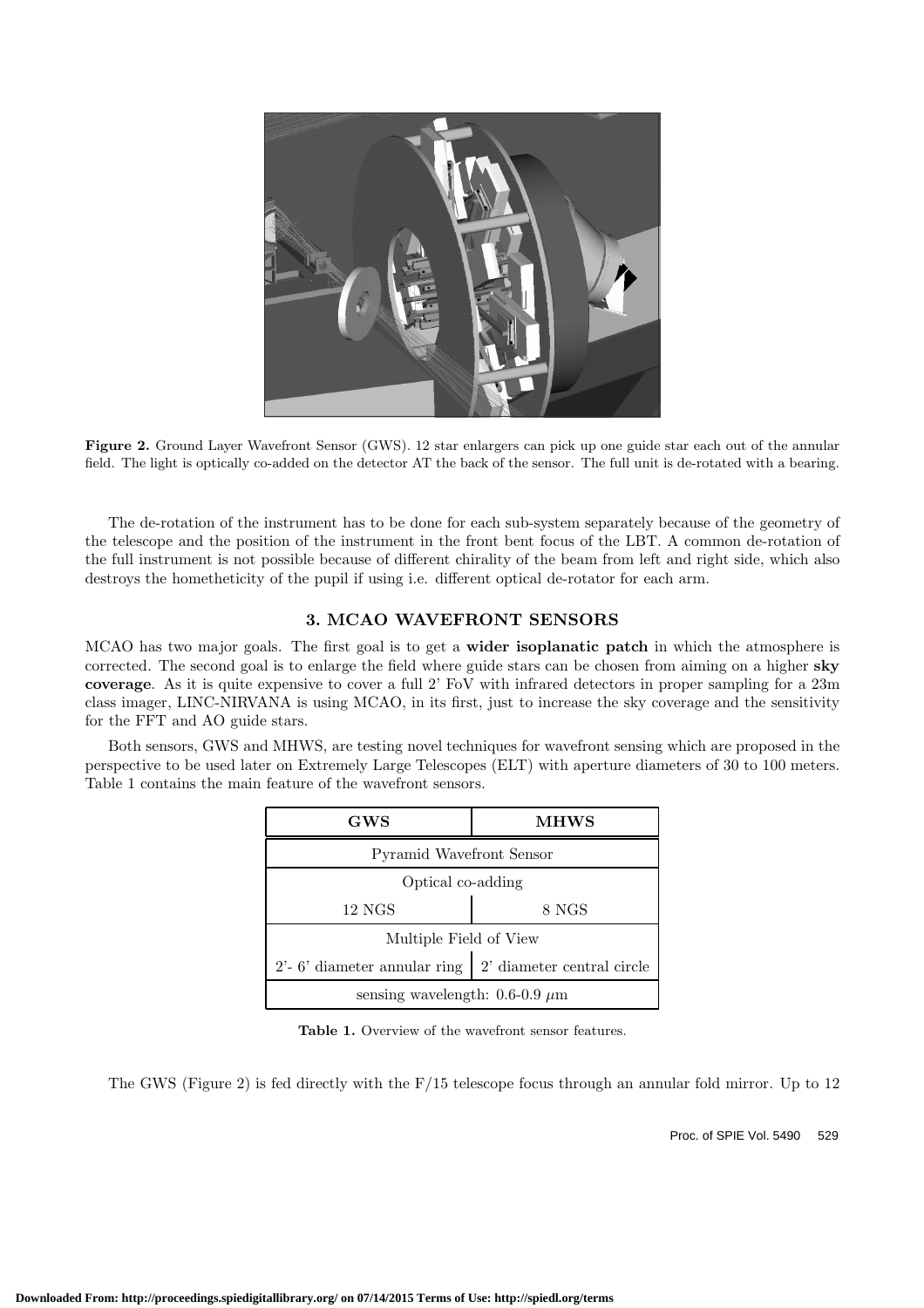

**Figure 2.** Ground Layer Wavefront Sensor (GWS). 12 star enlargers can pick up one guide star each out of the annular field. The light is optically co-added on the detector AT the back of the sensor. The full unit is de-rotated with a bearing.

The de-rotation of the instrument has to be done for each sub-system separately because of the geometry of the telescope and the position of the instrument in the front bent focus of the LBT. A common de-rotation of the full instrument is not possible because of different chirality of the beam from left and right side, which also destroys the hometheticity of the pupil if using i.e. different optical de-rotator for each arm.

## **3. MCAO WAVEFRONT SENSORS**

MCAO has two major goals. The first goal is to get a **wider isoplanatic patch** in which the atmosphere is corrected. The second goal is to enlarge the field where guide stars can be chosen from aiming on a higher **sky coverage**. As it is quite expensive to cover a full 2' FoV with infrared detectors in proper sampling for a 23m class imager, LINC-NIRVANA is using MCAO, in its first, just to increase the sky coverage and the sensitivity for the FFT and AO guide stars.

Both sensors, GWS and MHWS, are testing novel techniques for wavefront sensing which are proposed in the perspective to be used later on Extremely Large Telescopes (ELT) with aperture diameters of 30 to 100 meters. Table 1 contains the main feature of the wavefront sensors.

| GWS                                     | <b>MHWS</b>                |  |
|-----------------------------------------|----------------------------|--|
| <b>Pyramid Wavefront Sensor</b>         |                            |  |
| Optical co-adding                       |                            |  |
| $12\text{ NGS}$                         | 8 NGS                      |  |
| Multiple Field of View                  |                            |  |
| $2^{\prime}$ - 6' diameter annular ring | 2' diameter central circle |  |
| sensing wavelength: $0.6$ -0.9 $\mu$ m  |                            |  |

**Table 1.** Overview of the wavefront sensor features.

The GWS (Figure 2) is fed directly with the F/15 telescope focus through an annular fold mirror. Up to 12

Proc. of SPIE Vol. 5490 529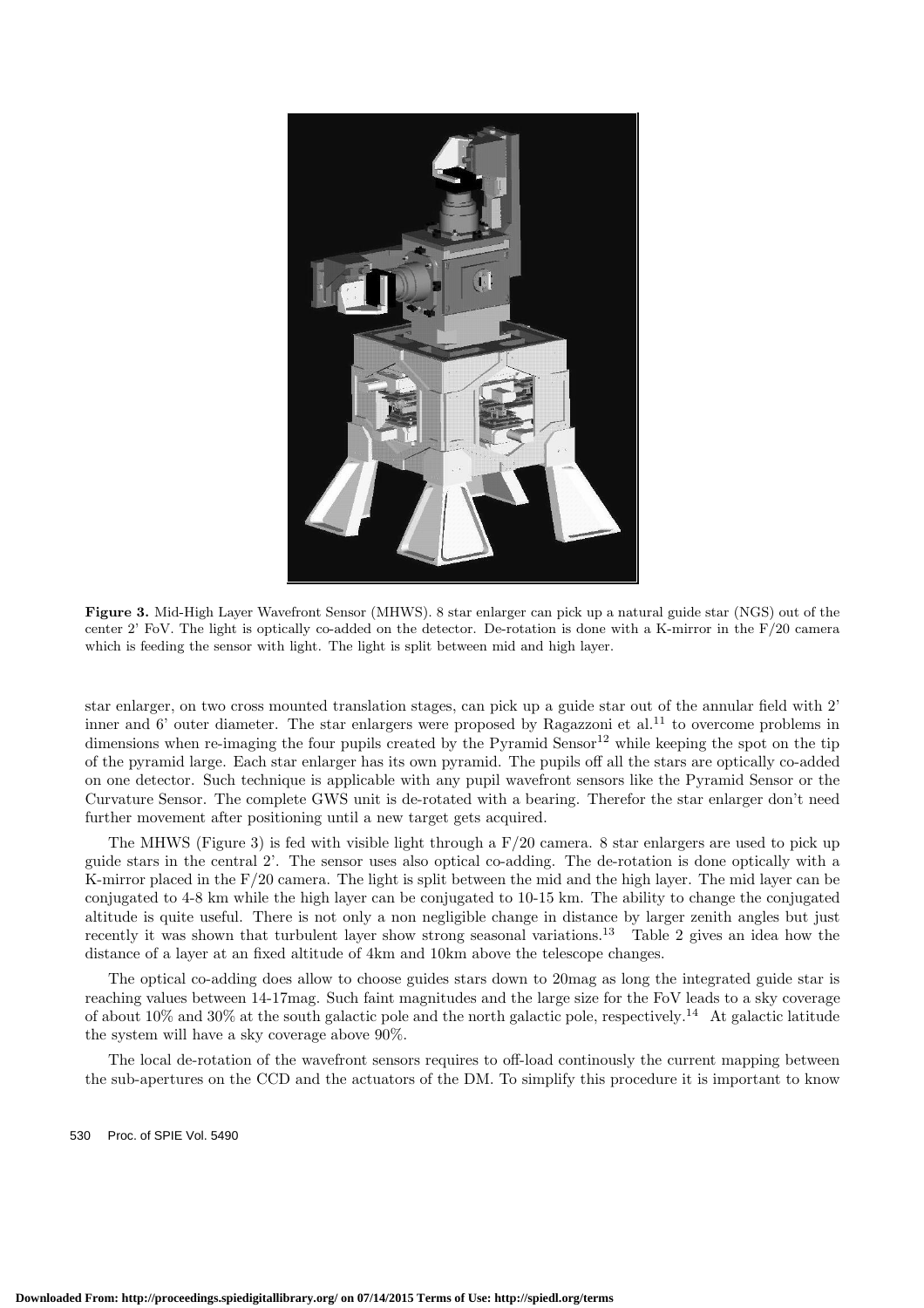

**Figure 3.** Mid-High Layer Wavefront Sensor (MHWS). 8 star enlarger can pick up a natural guide star (NGS) out of the center 2' FoV. The light is optically co-added on the detector. De-rotation is done with a K-mirror in the  $F/20$  camera which is feeding the sensor with light. The light is split between mid and high layer.

star enlarger, on two cross mounted translation stages, can pick up a guide star out of the annular field with 2' inner and 6' outer diameter. The star enlargers were proposed by Ragazzoni et al.<sup>11</sup> to overcome problems in dimensions when re-imaging the four pupils created by the Pyramid Sensor<sup>12</sup> while keeping the spot on the tip of the pyramid large. Each star enlarger has its own pyramid. The pupils off all the stars are optically co-added on one detector. Such technique is applicable with any pupil wavefront sensors like the Pyramid Sensor or the Curvature Sensor. The complete GWS unit is de-rotated with a bearing. Therefor the star enlarger don't need further movement after positioning until a new target gets acquired.

The MHWS (Figure 3) is fed with visible light through a F/20 camera. 8 star enlargers are used to pick up guide stars in the central 2'. The sensor uses also optical co-adding. The de-rotation is done optically with a K-mirror placed in the F/20 camera. The light is split between the mid and the high layer. The mid layer can be conjugated to 4-8 km while the high layer can be conjugated to 10-15 km. The ability to change the conjugated altitude is quite useful. There is not only a non negligible change in distance by larger zenith angles but just recently it was shown that turbulent layer show strong seasonal variations.<sup>13</sup> Table 2 gives an idea how the distance of a layer at an fixed altitude of 4km and 10km above the telescope changes.

The optical co-adding does allow to choose guides stars down to 20mag as long the integrated guide star is reaching values between 14-17mag. Such faint magnitudes and the large size for the FoV leads to a sky coverage of about  $10\%$  and  $30\%$  at the south galactic pole and the north galactic pole, respectively.<sup>14</sup> At galactic latitude the system will have a sky coverage above 90%.

The local de-rotation of the wavefront sensors requires to off-load continously the current mapping between the sub-apertures on the CCD and the actuators of the DM. To simplify this procedure it is important to know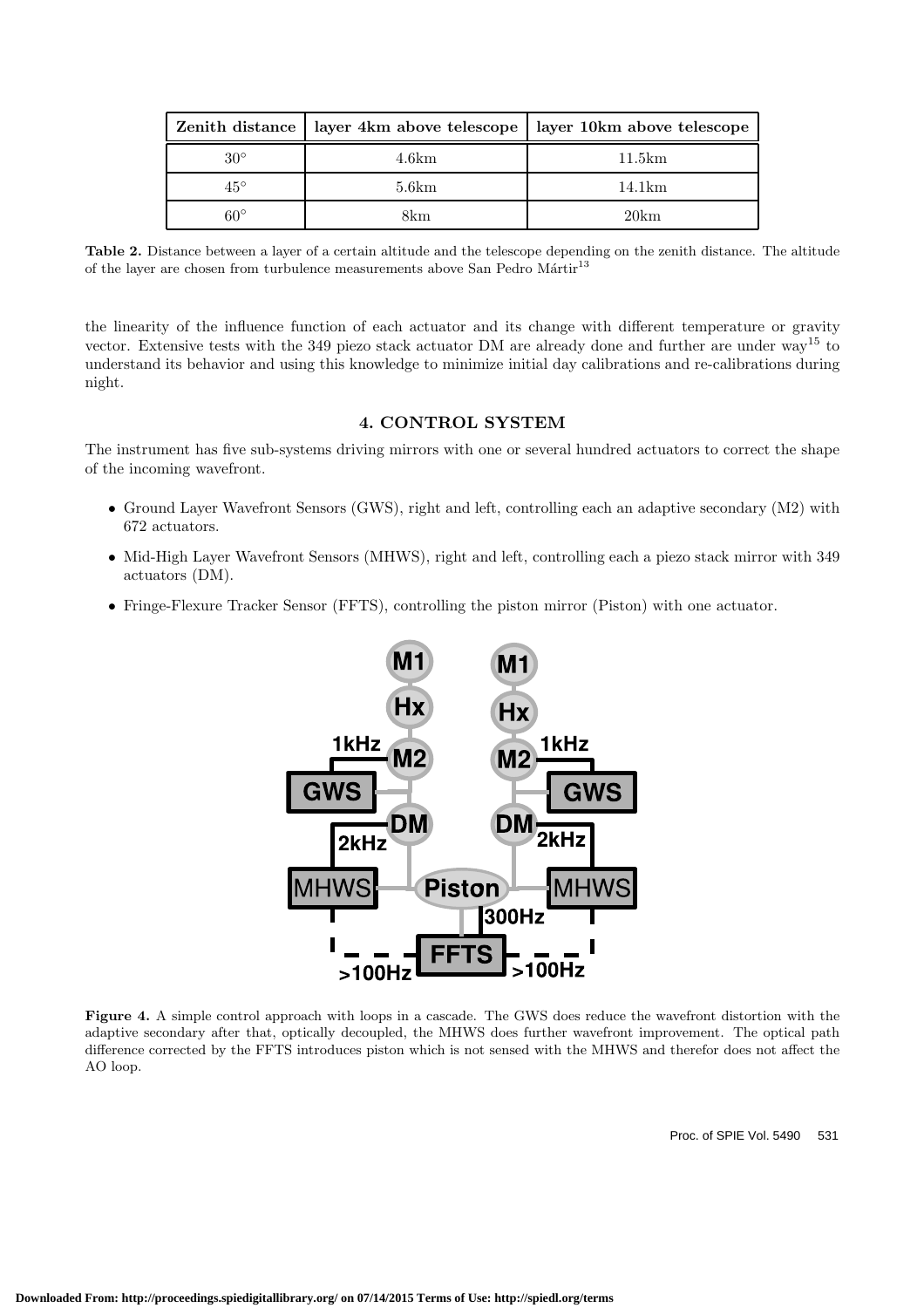|              | Zenith distance   layer 4km above telescope | layer 10km above telescope |
|--------------|---------------------------------------------|----------------------------|
| $30^{\circ}$ | 4.6km                                       | 11.5km                     |
| $45^{\circ}$ | 5.6km                                       | 14.1km                     |
| $60^{\circ}$ | 8km                                         | 20km                       |

**Table 2.** Distance between a layer of a certain altitude and the telescope depending on the zenith distance. The altitude of the layer are chosen from turbulence measurements above San Pedro $\operatorname{Mārtir}^{13}$ 

the linearity of the influence function of each actuator and its change with different temperature or gravity vector. Extensive tests with the 349 piezo stack actuator DM are already done and further are under way<sup>15</sup> to understand its behavior and using this knowledge to minimize initial day calibrations and re-calibrations during night.

## **4. CONTROL SYSTEM**

The instrument has five sub-systems driving mirrors with one or several hundred actuators to correct the shape of the incoming wavefront.

- Ground Layer Wavefront Sensors (GWS), right and left, controlling each an adaptive secondary (M2) with 672 actuators.
- Mid-High Layer Wavefront Sensors (MHWS), right and left, controlling each a piezo stack mirror with 349 actuators (DM).
- Fringe-Flexure Tracker Sensor (FFTS), controlling the piston mirror (Piston) with one actuator.



**Figure 4.** A simple control approach with loops in a cascade. The GWS does reduce the wavefront distortion with the adaptive secondary after that, optically decoupled, the MHWS does further wavefront improvement. The optical path difference corrected by the FFTS introduces piston which is not sensed with the MHWS and therefor does not affect the AO loop.

Proc. of SPIE Vol. 5490 531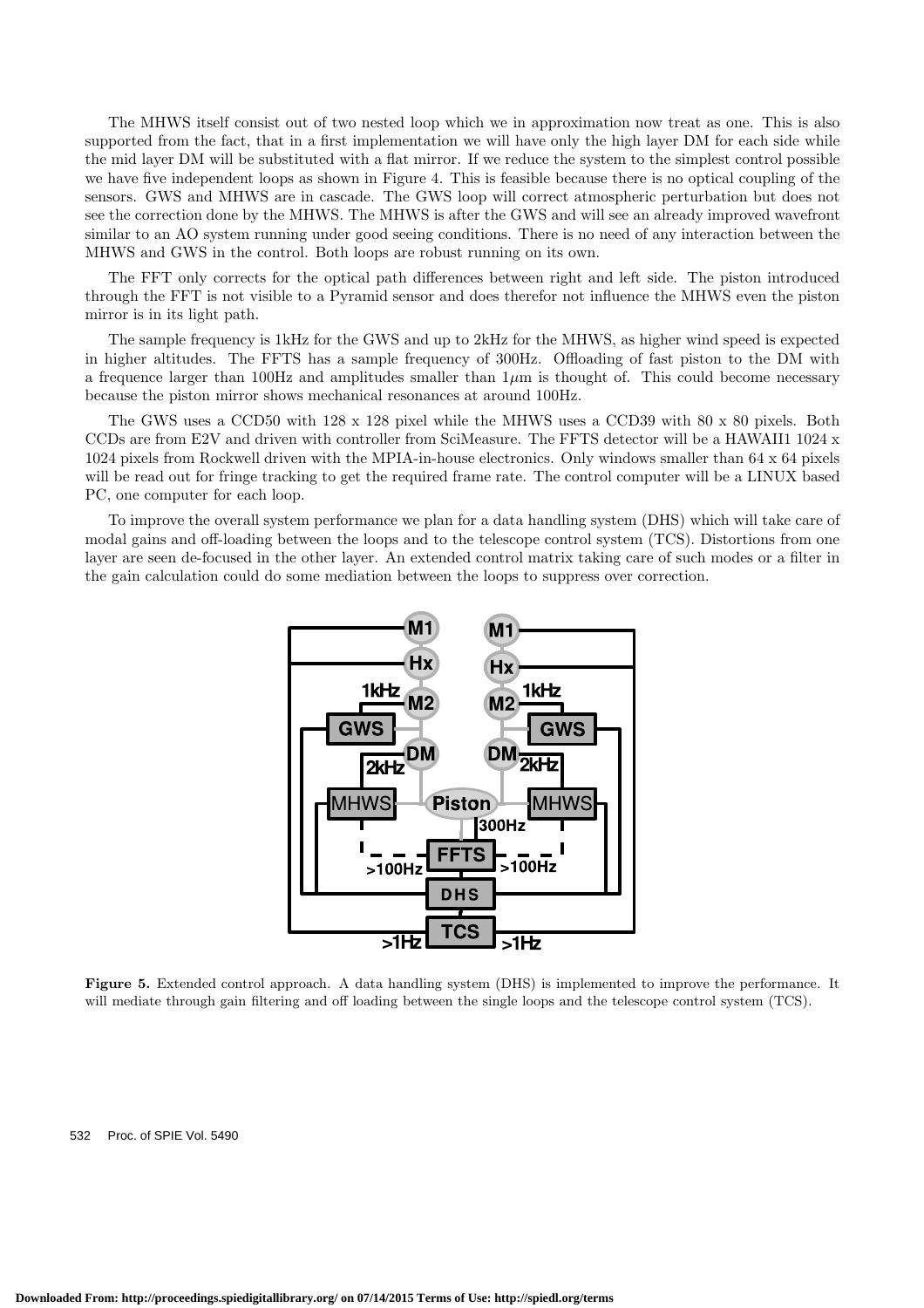The MHWS itself consist out of two nested loop which we in approximation now treat as one. This is also supported from the fact, that in a first implementation we will have only the high layer DM for each side while the mid layer DM will be substituted with a flat mirror. If we reduce the system to the simplest control possible we have five independent loops as shown in Figure 4. This is feasible because there is no optical coupling of the sensors. GWS and MHWS are in cascade. The GWS loop will correct atmospheric perturbation but does not see the correction done by the MHWS. The MHWS is after the GWS and will see an already improved wavefront similar to an AO system running under good seeing conditions. There is no need of any interaction between the MHWS and GWS in the control. Both loops are robust running on its own.

The FFT only corrects for the optical path differences between right and left side. The piston introduced through the FFT is not visible to a Pyramid sensor and does therefor not influence the MHWS even the piston mirror is in its light path.

The sample frequency is 1kHz for the GWS and up to 2kHz for the MHWS, as higher wind speed is expected in higher altitudes. The FFTS has a sample frequency of 300Hz. Offloading of fast piston to the DM with a frequence larger than  $100Hz$  and amplitudes smaller than  $1\mu$ m is thought of. This could become necessary because the piston mirror shows mechanical resonances at around 100Hz.

The GWS uses a CCD50 with 128 x 128 pixel while the MHWS uses a CCD39 with 80 x 80 pixels. Both CCDs are from E2V and driven with controller from SciMeasure. The FFTS detector will be a HAWAII1 1024 x 1024 pixels from Rockwell driven with the MPIA-in-house electronics. Only windows smaller than 64 x 64 pixels will be read out for fringe tracking to get the required frame rate. The control computer will be a LINUX based PC, one computer for each loop.

To improve the overall system performance we plan for a data handling system (DHS) which will take care of modal gains and off-loading between the loops and to the telescope control system (TCS). Distortions from one layer are seen de-focused in the other layer. An extended control matrix taking care of such modes or a filter in the gain calculation could do some mediation between the loops to suppress over correction.



**Figure 5.** Extended control approach. A data handling system (DHS) is implemented to improve the performance. It will mediate through gain filtering and off loading between the single loops and the telescope control system (TCS).

532 Proc. of SPIE Vol. 5490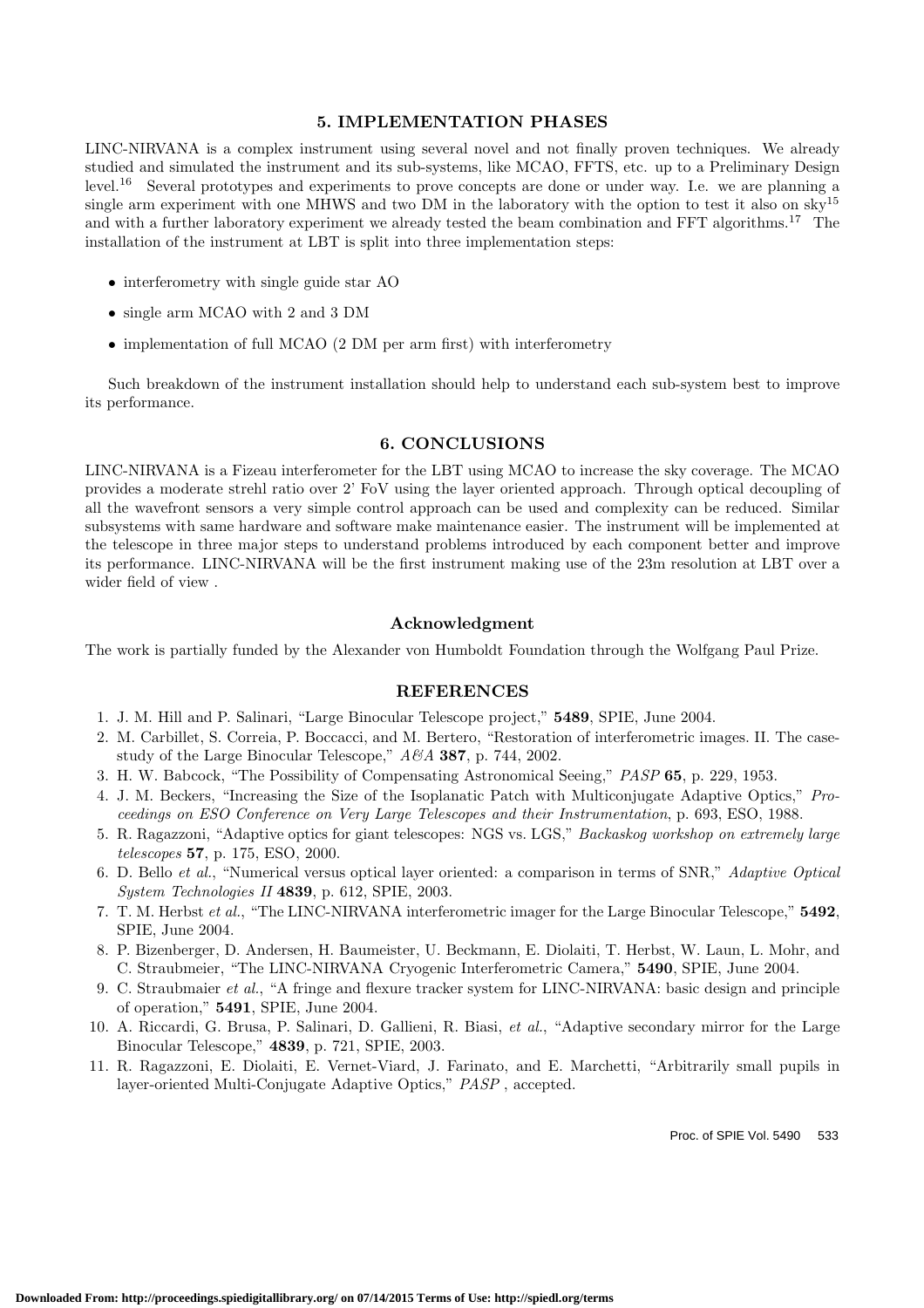#### **5. IMPLEMENTATION PHASES**

LINC-NIRVANA is a complex instrument using several novel and not finally proven techniques. We already studied and simulated the instrument and its sub-systems, like MCAO, FFTS, etc. up to a Preliminary Design level.<sup>16</sup> Several prototypes and experiments to prove concepts are done or under way. I.e. we are planning a single arm experiment with one MHWS and two DM in the laboratory with the option to test it also on sky<sup>15</sup> and with a further laboratory experiment we already tested the beam combination and FFT algorithms.<sup>17</sup> The installation of the instrument at LBT is split into three implementation steps:

- interferometry with single guide star AO
- *•* single arm MCAO with 2 and 3 DM
- implementation of full MCAO (2 DM per arm first) with interferometry

Such breakdown of the instrument installation should help to understand each sub-system best to improve its performance.

#### **6. CONCLUSIONS**

LINC-NIRVANA is a Fizeau interferometer for the LBT using MCAO to increase the sky coverage. The MCAO provides a moderate strehl ratio over 2' FoV using the layer oriented approach. Through optical decoupling of all the wavefront sensors a very simple control approach can be used and complexity can be reduced. Similar subsystems with same hardware and software make maintenance easier. The instrument will be implemented at the telescope in three major steps to understand problems introduced by each component better and improve its performance. LINC-NIRVANA will be the first instrument making use of the 23m resolution at LBT over a wider field of view .

#### **Acknowledgment**

The work is partially funded by the Alexander von Humboldt Foundation through the Wolfgang Paul Prize.

### **REFERENCES**

- 1. J. M. Hill and P. Salinari, "Large Binocular Telescope project," **5489**, SPIE, June 2004.
- 2. M. Carbillet, S. Correia, P. Boccacci, and M. Bertero, "Restoration of interferometric images. II. The casestudy of the Large Binocular Telescope," *A&A* **387**, p. 744, 2002.
- 3. H. W. Babcock, "The Possibility of Compensating Astronomical Seeing," *PASP* **65**, p. 229, 1953.
- 4. J. M. Beckers, "Increasing the Size of the Isoplanatic Patch with Multiconjugate Adaptive Optics," *Proceedings on ESO Conference on Very Large Telescopes and their Instrumentation*, p. 693, ESO, 1988.
- 5. R. Ragazzoni, "Adaptive optics for giant telescopes: NGS vs. LGS," *Backaskog workshop on extremely large telescopes* **57**, p. 175, ESO, 2000.
- 6. D. Bello *et al.*, "Numerical versus optical layer oriented: a comparison in terms of SNR," *Adaptive Optical System Technologies II* **4839**, p. 612, SPIE, 2003.
- 7. T. M. Herbst *et al.*, "The LINC-NIRVANA interferometric imager for the Large Binocular Telescope," **5492**, SPIE, June 2004.
- 8. P. Bizenberger, D. Andersen, H. Baumeister, U. Beckmann, E. Diolaiti, T. Herbst, W. Laun, L. Mohr, and C. Straubmeier, "The LINC-NIRVANA Cryogenic Interferometric Camera," **5490**, SPIE, June 2004.
- 9. C. Straubmaier *et al.*, "A fringe and flexure tracker system for LINC-NIRVANA: basic design and principle of operation," **5491**, SPIE, June 2004.
- 10. A. Riccardi, G. Brusa, P. Salinari, D. Gallieni, R. Biasi, *et al.*, "Adaptive secondary mirror for the Large Binocular Telescope," **4839**, p. 721, SPIE, 2003.
- 11. R. Ragazzoni, E. Diolaiti, E. Vernet-Viard, J. Farinato, and E. Marchetti, "Arbitrarily small pupils in layer-oriented Multi-Conjugate Adaptive Optics," *PASP* , accepted.

Proc. of SPIE Vol. 5490 533